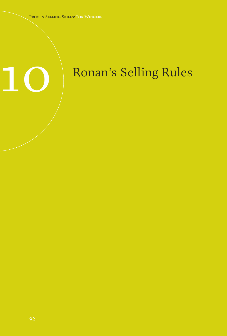# Ronan's Selling Rules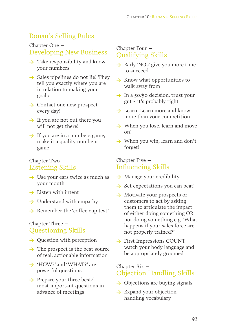# Ronan's Selling Rules

# Chapter One – Developing New Business

- **>** Take responsibility and know your numbers
- **>** Sales pipelines do not lie! They tell you exactly where you are in relation to making your goals
- **>** Contact one new prospect every day!
- **>** If you are not out there you will not get there!
- **>** If you are in a numbers game, make it a quality numbers game

#### Chapter Two – Listening Skills

- **>** Use your ears twice as much as your mouth
- **>** Listen with intent
- **>** Understand with empathy
- **>** Remember the 'coffee cup test'

# Chapter Three – Questioning Skills

- **>** Question with perception
- **>** The prospect is the best source of real, actionable information
- → 'HOW?' and 'WHAT?' are powerful questions
- **>** Prepare your three best/ most important questions in advance of meetings

#### Chapter Four – Qualifying Skills

- **>** Early 'NOs' give you more time to succeed
- **>** Know what opportunities to walk away from
- **>** In a 50/50 decision, trust your gut - it's probably right
- **>** Learn! Learn more and know more than your competition
- **>** When you lose, learn and move on!
- **>** When you win, learn and don't forget!

#### Chapter Five – Influencing Skills

- **>** Manage your credibility
- → Set expectations you can beat!
- **>** Motivate your prospects or customers to act by asking them to articulate the impact of either doing something OR not doing something e.g. 'What happens if your sales force are not properly trained?'
- **>** First Impressions COUNT watch your body language and be appropriately groomed

# Chapter Six – Objection Handling Skills

- **>** Objections are buying signals
- **>** Expand your objection handling vocabulary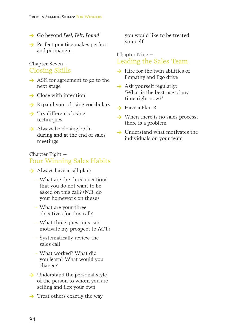- **>** Go beyond *Feel, Felt, Found*
- **>** Perfect practice makes perfect and permanent

# Chapter Seven – Closing Skills

- **>** ASK for agreement to go to the next stage
- **>** Close with intention
- **>** Expand your closing vocabulary
- **>** Try different closing techniques
- **>** Always be closing both during and at the end of sales meetings

### Chapter Eight – Four Winning Sales Habits

- **>** Always have a call plan:
	- − What are the three questions that you do not want to be asked on this call? (N.B. do your homework on these)
	- − What are your three objectives for this call?
	- − What three questions can motivate my prospect to ACT?
	- − Systematically review the sales call
	- − What worked? What did you learn? What would you change?
- → Understand the personal style of the person to whom you are selling and flex your own
- → Treat others exactly the way

you would like to be treated yourself

# Chapter Nine – Leading the Sales Team

- **>** Hire for the twin abilities of Empathy and Ego drive
- **>** Ask yourself regularly: 'What is the best use of my time right now?'
- **>** Have a Plan B
- **>** When there is no sales process, there is a problem
- **>** Understand what motivates the individuals on your team